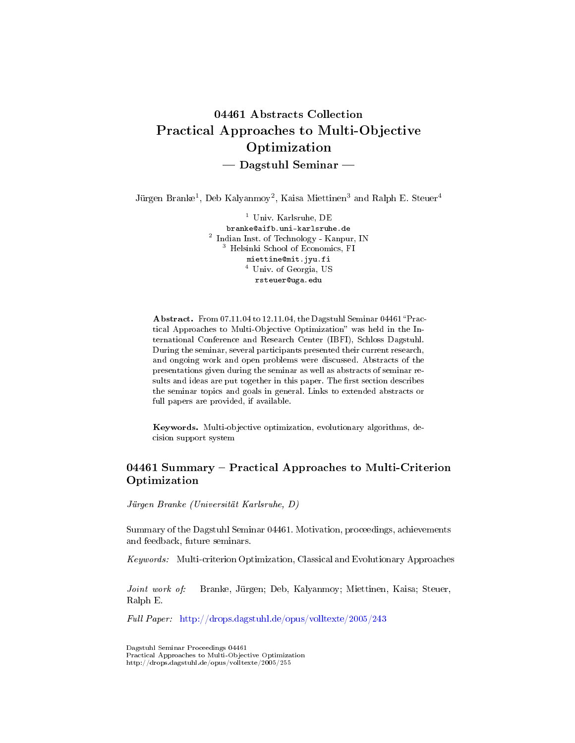# 04461 Abstracts Collection Practical Approaches to Multi-Objective Optimization - Dagstuhl Seminar

Jürgen Branke<sup>1</sup>, Deb Kalyanmoy<sup>2</sup>, Kaisa Miettinen<sup>3</sup> and Ralph E. Steuer<sup>4</sup>

<sup>1</sup> Univ. Karlsruhe, DE branke@aifb.uni-karlsruhe.de 2 Indian Inst. of Technology - Kanpur, IN <sup>3</sup> Helsinki School of Economics, FI miettine@mit.jyu.fi  $^4\,$  Univ. of Georgia, US rsteuer@uga.edu

Abstract. From 07.11.04 to 12.11.04, the Dagstuhl Seminar 04461 "Practical Approaches to Multi-Objective Optimization" was held in the International Conference and Research Center (IBFI), Schloss Dagstuhl. During the seminar, several participants presented their current research, and ongoing work and open problems were discussed. Abstracts of the presentations given during the seminar as well as abstracts of seminar results and ideas are put together in this paper. The first section describes the seminar topics and goals in general. Links to extended abstracts or full papers are provided, if available.

Keywords. Multi-objective optimization, evolutionary algorithms, decision support system

### 04461 Summary – Practical Approaches to Multi-Criterion Optimization

Jürgen Branke (Universität Karlsruhe, D)

Summary of the Dagstuhl Seminar 04461. Motivation, proceedings, achievements and feedback, future seminars.

Keywords: Multi-criterion Optimization, Classical and Evolutionary Approaches

Joint work of: Branke, Jürgen; Deb, Kalyanmoy; Miettinen, Kaisa; Steuer, Ralph E.

Full Paper: <http://drops.dagstuhl.de/opus/volltexte/2005/243>

Dagstuhl Seminar Proceedings 04461 Practical Approaches to Multi-Objective Optimization http://drops.dagstuhl.de/opus/volltexte/2005/255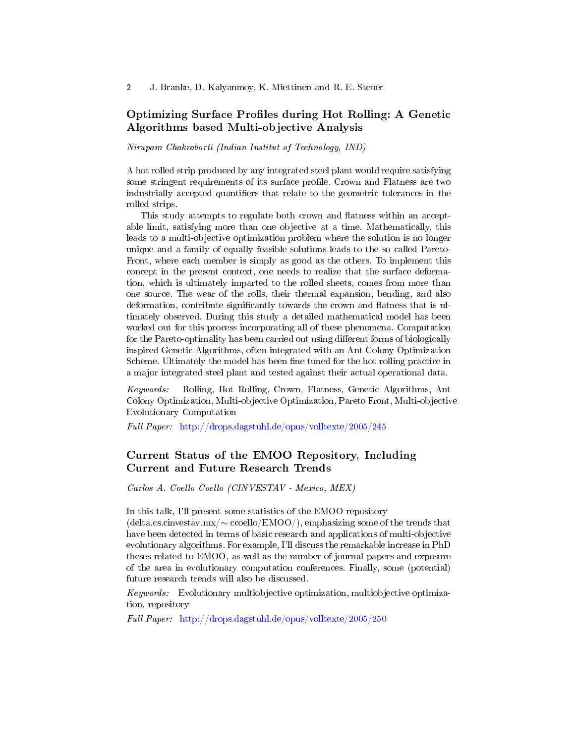### Optimizing Surface Profiles during Hot Rolling: A Genetic Algorithms based Multi-objective Analysis

Nirupam Chakraborti (Indian Institut of Technology, IND)

A hot rolled strip produced by any integrated steel plant would require satisfying some stringent requirements of its surface profile. Crown and Flatness are two industrially accepted quantifiers that relate to the geometric tolerances in the rolled strips.

This study attempts to regulate both crown and flatness within an acceptable limit, satisfying more than one objective at a time. Mathematically, this leads to a multi-objective optimization problem where the solution is no longer unique and a family of equally feasible solutions leads to the so called Pareto-Front, where each member is simply as good as the others. To implement this concept in the present context, one needs to realize that the surface deformation, which is ultimately imparted to the rolled sheets, comes from more than one source. The wear of the rolls, their thermal expansion, bending, and also deformation, contribute significantly towards the crown and flatness that is ultimately observed. During this study a detailed mathematical model has been worked out for this process incorporating all of these phenomena. Computation for the Pareto-optimality has been carried out using different forms of biologically inspired Genetic Algorithms, often integrated with an Ant Colony Optimization Scheme. Ultimately the model has been fine tuned for the hot rolling practice in a major integrated steel plant and tested against their actual operational data.

Keywords: Rolling, Hot Rolling, Crown, Flatness, Genetic Algorithms, Ant Colony Optimization, Multi-objective Optimization, Pareto Front, Multi-objective Evolutionary Computation

Full Paper: <http://drops.dagstuhl.de/opus/volltexte/2005/245>

# Current Status of the EMOO Repository, Including Current and Future Research Trends

Carlos A. Coello Coello (CINVESTAV - Mexico, MEX)

In this talk, I'll present some statistics of the EMOO repository (delta.cs.cinvestav.mx/∼ ccoello/EMOO/), emphasizing some of the trends that have been detected in terms of basic research and applications of multi-objective evolutionary algorithms. For example, I'll discuss the remarkable increase in PhD theses related to EMOO, as well as the number of journal papers and exposure of the area in evolutionary computation conferences. Finally, some (potential) future research trends will also be discussed.

Keywords: Evolutionary multiobjective optimization, multiobjective optimization, repository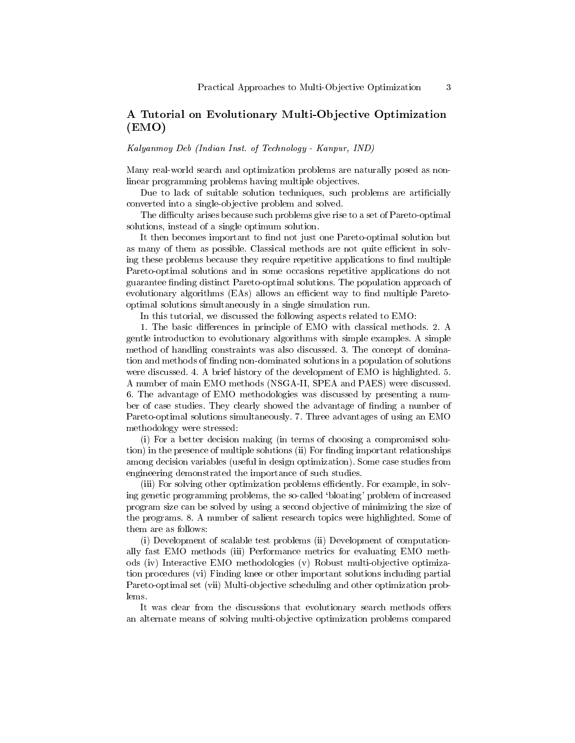### A Tutorial on Evolutionary Multi-Objective Optimization (EMO)

Kalyanmoy Deb (Indian Inst. of Technology - Kanpur, IND)

Many real-world search and optimization problems are naturally posed as nonlinear programming problems having multiple objectives.

Due to lack of suitable solution techniques, such problems are artificially converted into a single-objective problem and solved.

The difficulty arises because such problems give rise to a set of Pareto-optimal solutions, instead of a single optimum solution.

It then becomes important to find not just one Pareto-optimal solution but as many of them as possible. Classical methods are not quite efficient in solving these problems because they require repetitive applications to find multiple Pareto-optimal solutions and in some occasions repetitive applications do not guarantee finding distinct Pareto-optimal solutions. The population approach of evolutionary algorithms (EAs) allows an efficient way to find multiple Paretooptimal solutions simultaneously in a single simulation run.

In this tutorial, we discussed the following aspects related to EMO:

1. The basic differences in principle of EMO with classical methods. 2. A gentle introduction to evolutionary algorithms with simple examples. A simple method of handling constraints was also discussed. 3. The concept of domination and methods of finding non-dominated solutions in a population of solutions were discussed. 4. A brief history of the development of EMO is highlighted. 5. A number of main EMO methods (NSGA-II, SPEA and PAES) were discussed. 6. The advantage of EMO methodologies was discussed by presenting a number of case studies. They clearly showed the advantage of finding a number of Pareto-optimal solutions simultaneously. 7. Three advantages of using an EMO methodology were stressed:

(i) For a better decision making (in terms of choosing a compromised solution) in the presence of multiple solutions (ii) For finding important relationships among decision variables (useful in design optimization). Some case studies from engineering demonstrated the importance of such studies.

(iii) For solving other optimization problems efficiently. For example, in solving genetic programming problems, the so-called `bloating' problem of increased program size can be solved by using a second objective of minimizing the size of the programs. 8. A number of salient research topics were highlighted. Some of them are as follows:

(i) Development of scalable test problems (ii) Development of computationally fast EMO methods (iii) Performance metrics for evaluating EMO methods (iv) Interactive EMO methodologies (v) Robust multi-objective optimization procedures (vi) Finding knee or other important solutions including partial Pareto-optimal set (vii) Multi-objective scheduling and other optimization problems.

It was clear from the discussions that evolutionary search methods offers an alternate means of solving multi-objective optimization problems compared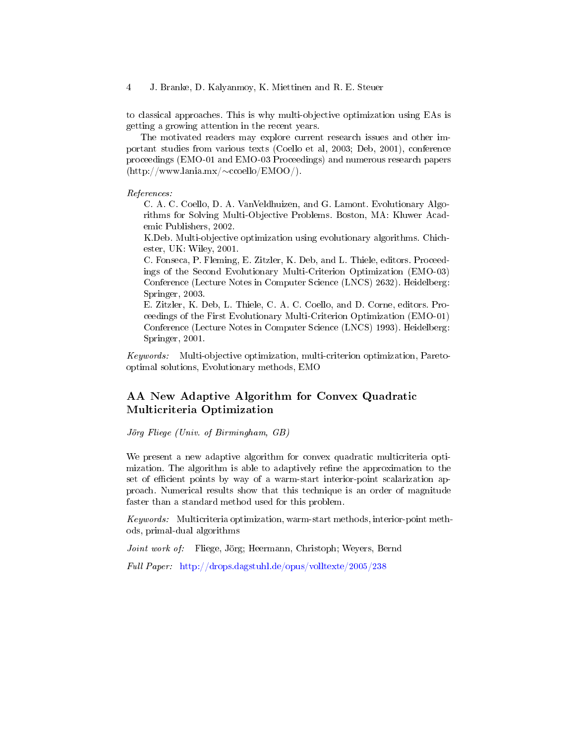to classical approaches. This is why multi-objective optimization using EAs is getting a growing attention in the recent years.

The motivated readers may explore current research issues and other important studies from various texts (Coello et al, 2003; Deb, 2001), conference proceedings (EMO-01 and EMO-03 Proceedings) and numerous research papers (http://www.lania.mx/∼ccoello/EMOO/).

#### References:

C. A. C. Coello, D. A. VanVeldhuizen, and G. Lamont. Evolutionary Algorithms for Solving Multi-Objective Problems. Boston, MA: Kluwer Academic Publishers, 2002.

K.Deb. Multi-objective optimization using evolutionary algorithms. Chichester, UK: Wiley, 2001.

C. Fonseca, P. Fleming, E. Zitzler, K. Deb, and L. Thiele, editors. Proceedings of the Second Evolutionary Multi-Criterion Optimization (EMO-03) Conference (Lecture Notes in Computer Science (LNCS) 2632). Heidelberg: Springer, 2003.

E. Zitzler, K. Deb, L. Thiele, C. A. C. Coello, and D. Corne, editors. Proceedings of the First Evolutionary Multi-Criterion Optimization (EMO-01) Conference (Lecture Notes in Computer Science (LNCS) 1993). Heidelberg: Springer, 2001.

Keywords: Multi-objective optimization, multi-criterion optimization, Paretooptimal solutions, Evolutionary methods, EMO

### AA New Adaptive Algorithm for Convex Quadratic Multicriteria Optimization

Jörg Fliege (Univ. of Birmingham, GB)

We present a new adaptive algorithm for convex quadratic multicriteria optimization. The algorithm is able to adaptively refine the approximation to the set of efficient points by way of a warm-start interior-point scalarization approach. Numerical results show that this technique is an order of magnitude faster than a standard method used for this problem.

Keywords: Multicriteria optimization, warm-start methods, interior-point methods, primal-dual algorithms

Joint work of: Fliege, Jörg; Heermann, Christoph; Weyers, Bernd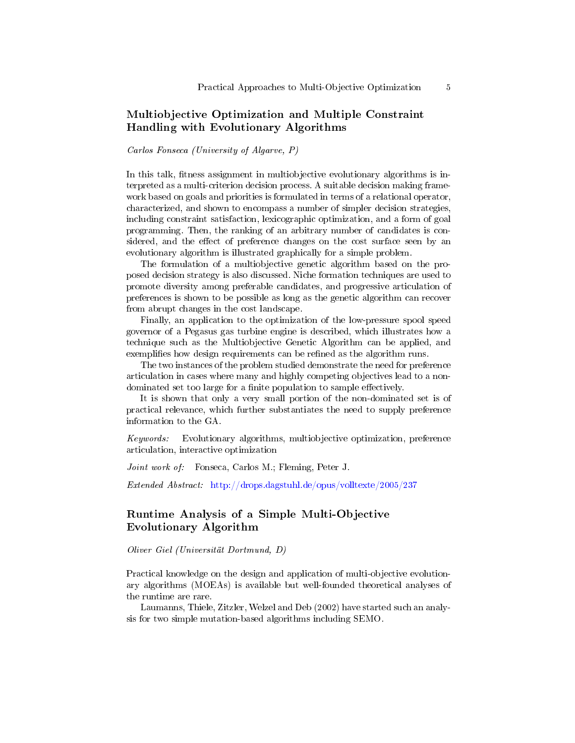### Multiobjective Optimization and Multiple Constraint Handling with Evolutionary Algorithms

#### Carlos Fonseca (University of Algarve, P)

In this talk, fitness assignment in multiobjective evolutionary algorithms is interpreted as a multi-criterion decision process. A suitable decision making framework based on goals and priorities is formulated in terms of a relational operator, characterized, and shown to encompass a number of simpler decision strategies, including constraint satisfaction, lexicographic optimization, and a form of goal programming. Then, the ranking of an arbitrary number of candidates is considered, and the effect of preference changes on the cost surface seen by an evolutionary algorithm is illustrated graphically for a simple problem.

The formulation of a multiobjective genetic algorithm based on the proposed decision strategy is also discussed. Niche formation techniques are used to promote diversity among preferable candidates, and progressive articulation of preferences is shown to be possible as long as the genetic algorithm can recover from abrupt changes in the cost landscape.

Finally, an application to the optimization of the low-pressure spool speed governor of a Pegasus gas turbine engine is described, which illustrates how a technique such as the Multiobjective Genetic Algorithm can be applied, and exemplifies how design requirements can be refined as the algorithm runs.

The two instances of the problem studied demonstrate the need for preference articulation in cases where many and highly competing objectives lead to a nondominated set too large for a finite population to sample effectively.

It is shown that only a very small portion of the non-dominated set is of practical relevance, which further substantiates the need to supply preference information to the GA.

Keywords: Evolutionary algorithms, multiobjective optimization, preference articulation, interactive optimization

Joint work of: Fonseca, Carlos M.; Fleming, Peter J.

Extended Abstract: <http://drops.dagstuhl.de/opus/volltexte/2005/237>

#### Runtime Analysis of a Simple Multi-Objective Evolutionary Algorithm

Oliver Giel (Universität Dortmund, D)

Practical knowledge on the design and application of multi-objective evolutionary algorithms (MOEAs) is available but well-founded theoretical analyses of the runtime are rare.

Laumanns, Thiele, Zitzler, Welzel and Deb (2002) have started such an analysis for two simple mutation-based algorithms including SEMO.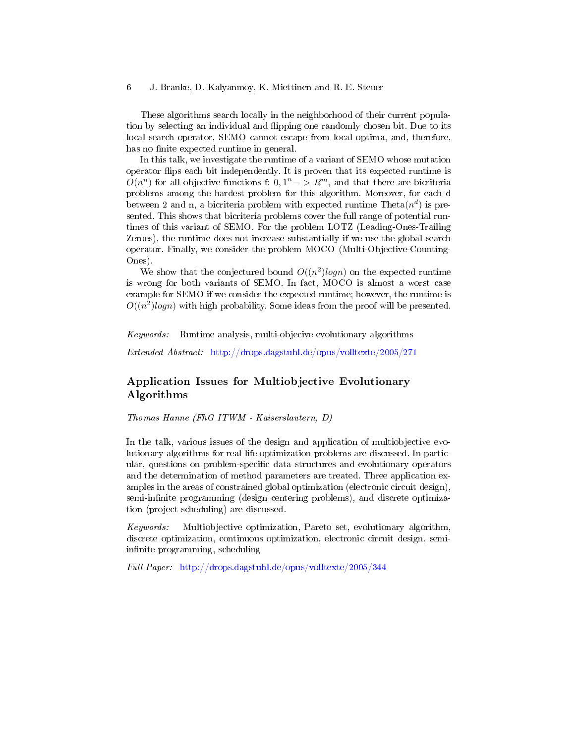These algorithms search locally in the neighborhood of their current population by selecting an individual and flipping one randomly chosen bit. Due to its local search operator, SEMO cannot escape from local optima, and, therefore, has no finite expected runtime in general.

In this talk, we investigate the runtime of a variant of SEMO whose mutation operator flips each bit independently. It is proven that its expected runtime is  $O(n^n)$  for all objective functions f:  $0, 1^n->R^m$ , and that there are bicriteria problems among the hardest problem for this algorithm. Moreover, for each d between 2 and n, a bicriteria problem with expected runtime Theta $(n^d)$  is presented. This shows that bicriteria problems cover the full range of potential runtimes of this variant of SEMO. For the problem LOTZ (Leading-Ones-Trailing Zeroes), the runtime does not increase substantially if we use the global search operator. Finally, we consider the problem MOCO (Multi-Objective-Counting-Ones).

We show that the conjectured bound  $O((n^2)logn)$  on the expected runtime is wrong for both variants of SEMO. In fact, MOCO is almost a worst case example for SEMO if we consider the expected runtime; however, the runtime is  $O((n^2)logn)$  with high probability. Some ideas from the proof will be presented.

Keywords: Runtime analysis, multi-objecive evolutionary algorithms

Extended Abstract: <http://drops.dagstuhl.de/opus/volltexte/2005/271>

# Application Issues for Multiobjective Evolutionary Algorithms

Thomas Hanne (FhG ITWM - Kaiserslautern, D)

In the talk, various issues of the design and application of multiobjective evolutionary algorithms for real-life optimization problems are discussed. In particular, questions on problem-specific data structures and evolutionary operators and the determination of method parameters are treated. Three application examples in the areas of constrained global optimization (electronic circuit design), semi-infinite programming (design centering problems), and discrete optimization (project scheduling) are discussed.

Keywords: Multiobjective optimization, Pareto set, evolutionary algorithm, discrete optimization, continuous optimization, electronic circuit design, semiinfinite programming, scheduling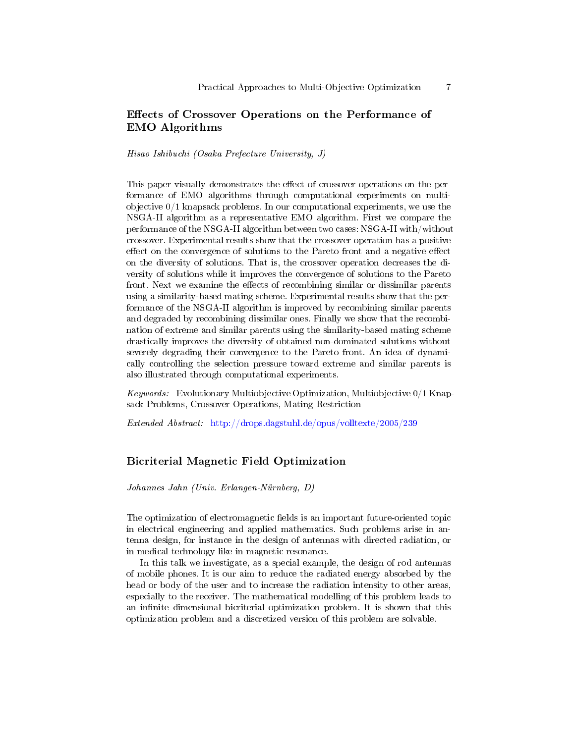### Effects of Crossover Operations on the Performance of EMO Algorithms

#### Hisao Ishibuchi (Osaka Prefecture University, J)

This paper visually demonstrates the effect of crossover operations on the performance of EMO algorithms through computational experiments on multiobjective 0/1 knapsack problems. In our computational experiments, we use the NSGA-II algorithm as a representative EMO algorithm. First we compare the performance of the NSGA-II algorithm between two cases: NSGA-II with/without crossover. Experimental results show that the crossover operation has a positive effect on the convergence of solutions to the Pareto front and a negative effect on the diversity of solutions. That is, the crossover operation decreases the diversity of solutions while it improves the convergence of solutions to the Pareto front. Next we examine the effects of recombining similar or dissimilar parents using a similarity-based mating scheme. Experimental results show that the performance of the NSGA-II algorithm is improved by recombining similar parents and degraded by recombining dissimilar ones. Finally we show that the recombination of extreme and similar parents using the similarity-based mating scheme drastically improves the diversity of obtained non-dominated solutions without severely degrading their convergence to the Pareto front. An idea of dynamically controlling the selection pressure toward extreme and similar parents is also illustrated through computational experiments.

*Keywords:* Evolutionary Multiobjective Optimization, Multiobjective  $0/1$  Knapsack Problems, Crossover Operations, Mating Restriction

Extended Abstract: <http://drops.dagstuhl.de/opus/volltexte/2005/239>

#### Bicriterial Magnetic Field Optimization

Johannes Jahn (Univ. Erlangen-Nürnberg, D)

The optimization of electromagnetic fields is an important future-oriented topic in electrical engineering and applied mathematics. Such problems arise in antenna design, for instance in the design of antennas with directed radiation, or in medical technology like in magnetic resonance.

In this talk we investigate, as a special example, the design of rod antennas of mobile phones. It is our aim to reduce the radiated energy absorbed by the head or body of the user and to increase the radiation intensity to other areas, especially to the receiver. The mathematical modelling of this problem leads to an infinite dimensional bicriterial optimization problem. It is shown that this optimization problem and a discretized version of this problem are solvable.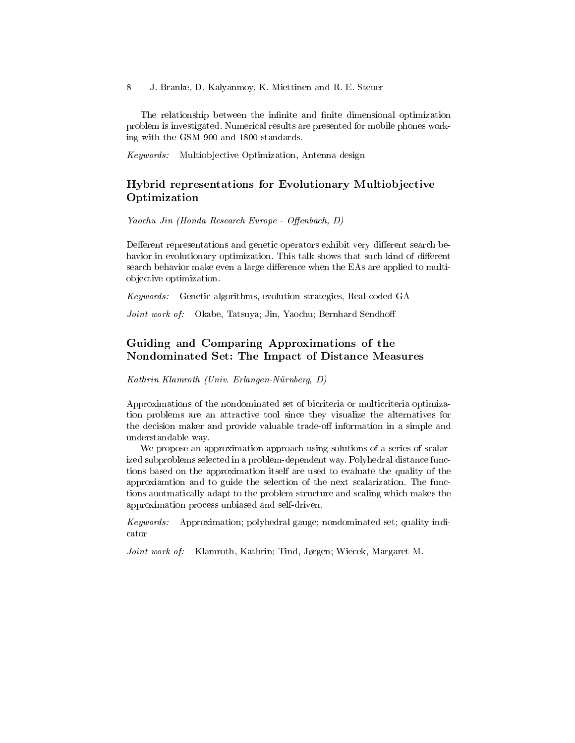The relationship between the infinite and finite dimensional optimization problem is investigated. Numerical results are presented for mobile phones working with the GSM 900 and 1800 standards.

Keywords: Multiobjective Optimization, Antenna design

# Hybrid representations for Evolutionary Multiobjective Optimization

 $Yaochu$  Jin (Honda Research Europe - Offenbach, D)

Defferent representations and genetic operators exhibit very different search behavior in evolutionary optimization. This talk shows that such kind of different search behavior make even a large difference when the EAs are applied to multiobjective optimization.

Keywords: Genetic algorithms, evolution strategies, Real-coded GA

Joint work of: Okabe, Tatsuya; Jin, Yaochu; Bernhard Sendhoff

# Guiding and Comparing Approximations of the Nondominated Set: The Impact of Distance Measures

Kathrin Klamroth (Univ. Erlangen-Nürnberg, D)

Approximations of the nondominated set of bicriteria or multicriteria optimization problems are an attractive tool since they visualize the alternatives for the decision maker and provide valuable trade-off information in a simple and understandable way.

We propose an approximation approach using solutions of a series of scalarized subproblems selected in a problem-dependent way. Polyhedral distance functions based on the approximation itself are used to evaluate the quality of the approxiamtion and to guide the selection of the next scalarization. The functions auotmatically adapt to the problem structure and scaling which makes the approximation process unbiased and self-driven.

Keywords: Approximation; polyhedral gauge; nondominated set; quality indicator

Joint work of: Klamroth, Kathrin; Tind, Jørgen; Wiecek, Margaret M.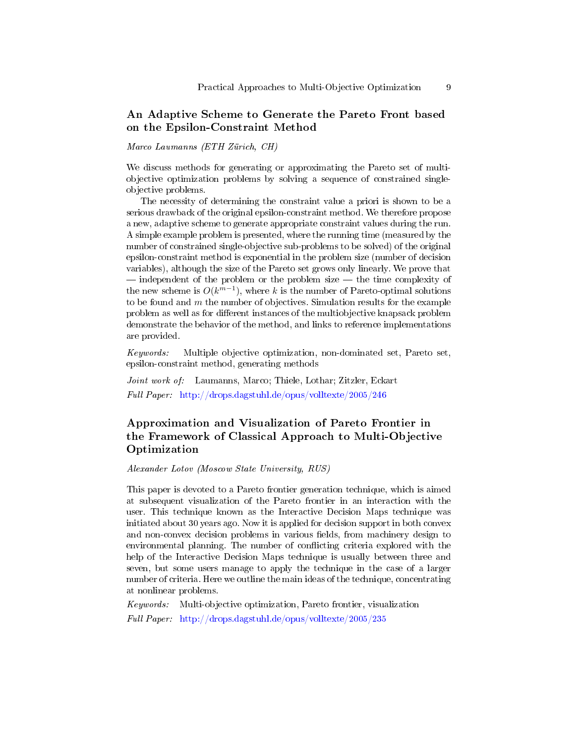### An Adaptive Scheme to Generate the Pareto Front based on the Epsilon-Constraint Method

Marco Laumanns (ETH Zürich, CH)

We discuss methods for generating or approximating the Pareto set of multiobjective optimization problems by solving a sequence of constrained singleobjective problems.

The necessity of determining the constraint value a priori is shown to be a serious drawback of the original epsilon-constraint method. We therefore propose a new, adaptive scheme to generate appropriate constraint values during the run. A simple example problem is presented, where the running time (measured by the number of constrained single-objective sub-problems to be solved) of the original epsilon-constraint method is exponential in the problem size (number of decision variables), although the size of the Pareto set grows only linearly. We prove that  $\overline{\phantom{a}}$  independent of the problem or the problem size  $\overline{\phantom{a}}$  the time complexity of the new scheme is  $O(k^{m-1})$ , where k is the number of Pareto-optimal solutions to be found and  $m$  the number of objectives. Simulation results for the example problem as well as for different instances of the multiobjective knapsack problem demonstrate the behavior of the method, and links to reference implementations are provided.

Keywords: Multiple objective optimization, non-dominated set, Pareto set, epsilon-constraint method, generating methods

Joint work of: Laumanns, Marco; Thiele, Lothar; Zitzler, Eckart Full Paper: <http://drops.dagstuhl.de/opus/volltexte/2005/246>

# Approximation and Visualization of Pareto Frontier in the Framework of Classical Approach to Multi-Objective Optimization

Alexander Lotov (Moscow State University, RUS)

This paper is devoted to a Pareto frontier generation technique, which is aimed at subsequent visualization of the Pareto frontier in an interaction with the user. This technique known as the Interactive Decision Maps technique was initiated about 30 years ago. Now it is applied for decision support in both convex and non-convex decision problems in various fields, from machinery design to environmental planning. The number of conflicting criteria explored with the help of the Interactive Decision Maps technique is usually between three and seven, but some users manage to apply the technique in the case of a larger number of criteria. Here we outline the main ideas of the technique, concentrating at nonlinear problems.

Keywords: Multi-objective optimization, Pareto frontier, visualization Full Paper: <http://drops.dagstuhl.de/opus/volltexte/2005/235>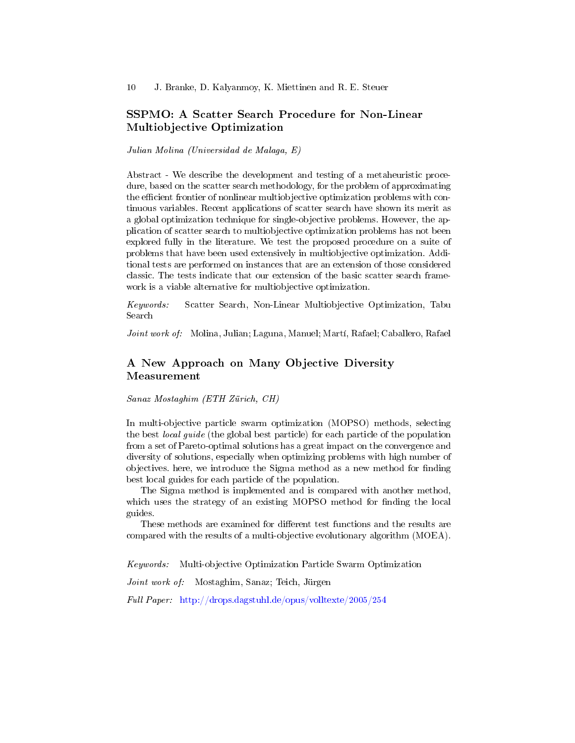### SSPMO: A Scatter Search Procedure for Non-Linear Multiobjective Optimization

Julian Molina (Universidad de Malaga, E)

Abstract - We describe the development and testing of a metaheuristic procedure, based on the scatter search methodology, for the problem of approximating the efficient frontier of nonlinear multiobjective optimization problems with continuous variables. Recent applications of scatter search have shown its merit as a global optimization technique for single-objective problems. However, the application of scatter search to multiobjective optimization problems has not been explored fully in the literature. We test the proposed procedure on a suite of problems that have been used extensively in multiobjective optimization. Additional tests are performed on instances that are an extension of those considered classic. The tests indicate that our extension of the basic scatter search framework is a viable alternative for multiobjective optimization.

Keywords: Scatter Search, Non-Linear Multiobjective Optimization, Tabu Search

Joint work of: Molina, Julian; Laguna, Manuel; Martí, Rafael; Caballero, Rafael

# A New Approach on Many Objective Diversity Measurement

Sanaz Mostaghim (ETH Zürich, CH)

In multi-objective particle swarm optimization (MOPSO) methods, selecting the best local guide (the global best particle) for each particle of the population from a set of Pareto-optimal solutions has a great impact on the convergence and diversity of solutions, especially when optimizing problems with high number of objectives. here, we introduce the Sigma method as a new method for finding best local guides for each particle of the population.

The Sigma method is implemented and is compared with another method, which uses the strategy of an existing MOPSO method for finding the local guides.

These methods are examined for different test functions and the results are compared with the results of a multi-objective evolutionary algorithm (MOEA).

Keywords: Multi-objective Optimization Particle Swarm Optimization

Joint work of: Mostaghim, Sanaz; Teich, Jürgen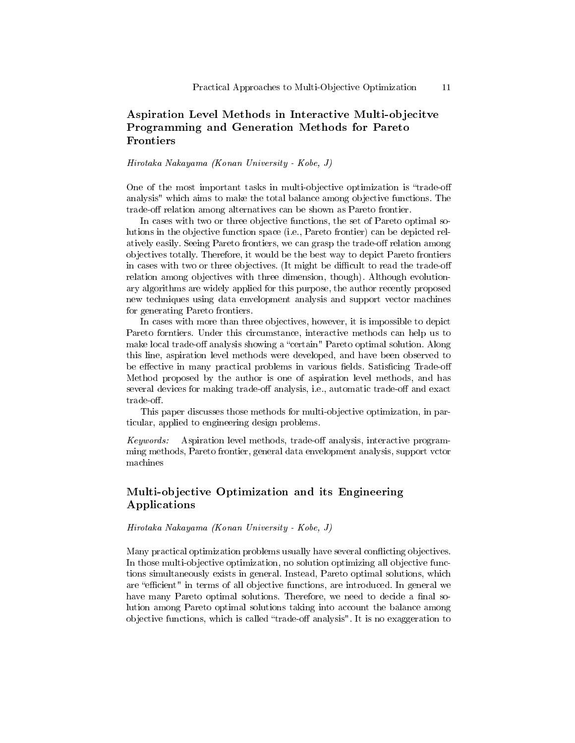### Aspiration Level Methods in Interactive Multi-objecitve Programming and Generation Methods for Pareto Frontiers

#### Hirotaka Nakayama (Konan University - Kobe, J)

One of the most important tasks in multi-objective optimization is "trade-off" analysis" which aims to make the total balance among objective functions. The trade-off relation among alternatives can be shown as Pareto frontier.

In cases with two or three objective functions, the set of Pareto optimal solutions in the objective function space (i.e., Pareto frontier) can be depicted relatively easily. Seeing Pareto frontiers, we can grasp the trade-off relation among objectives totally. Therefore, it would be the best way to depict Pareto frontiers in cases with two or three objectives. (It might be difficult to read the trade-off relation among objectives with three dimension, though). Although evolutionary algorithms are widely applied for this purpose, the author recently proposed new techniques using data envelopment analysis and support vector machines for generating Pareto frontiers.

In cases with more than three objectives, however, it is impossible to depict Pareto forntiers. Under this circumstance, interactive methods can help us to make local trade-off analysis showing a "certain" Pareto optimal solution. Along this line, aspiration level methods were developed, and have been observed to be effective in many practical problems in various fields. Satisficing Trade-off Method proposed by the author is one of aspiration level methods, and has several devices for making trade-off analysis, i.e., automatic trade-off and exact  $trade-off.$ 

This paper discusses those methods for multi-objective optimization, in particular, applied to engineering design problems.

Keywords: Aspiration level methods, trade-off analysis, interactive programming methods, Pareto frontier, general data envelopment analysis, support vctor machines

# Multi-objective Optimization and its Engineering Applications

#### Hirotaka Nakayama (Konan University - Kobe, J)

Many practical optimization problems usually have several conflicting objectives. In those multi-objective optimization, no solution optimizing all objective functions simultaneously exists in general. Instead, Pareto optimal solutions, which are "efficient" in terms of all objective functions, are introduced. In general we have many Pareto optimal solutions. Therefore, we need to decide a final solution among Pareto optimal solutions taking into account the balance among objective functions, which is called "trade-off analysis". It is no exaggeration to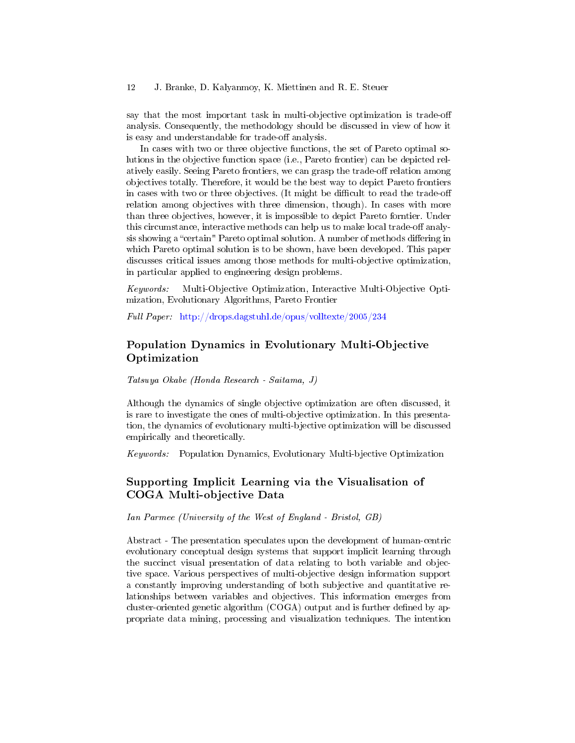say that the most important task in multi-objective optimization is trade-off analysis. Consequently, the methodology should be discussed in view of how it is easy and understandable for trade-off analysis.

In cases with two or three objective functions, the set of Pareto optimal solutions in the objective function space (i.e., Pareto frontier) can be depicted relatively easily. Seeing Pareto frontiers, we can grasp the trade-off relation among objectives totally. Therefore, it would be the best way to depict Pareto frontiers in cases with two or three objectives. (It might be difficult to read the trade-off relation among objectives with three dimension, though). In cases with more than three objectives, however, it is impossible to depict Pareto forntier. Under this circumstance, interactive methods can help us to make local trade-off analysis showing a "certain" Pareto optimal solution. A number of methods differing in which Pareto optimal solution is to be shown, have been developed. This paper discusses critical issues among those methods for multi-objective optimization, in particular applied to engineering design problems.

Keywords: Multi-Objective Optimization, Interactive Multi-Objective Optimization, Evolutionary Algorithms, Pareto Frontier

Full Paper: <http://drops.dagstuhl.de/opus/volltexte/2005/234>

### Population Dynamics in Evolutionary Multi-Objective Optimization

Tatsuya Okabe (Honda Research - Saitama, J)

Although the dynamics of single objective optimization are often discussed, it is rare to investigate the ones of multi-objective optimization. In this presentation, the dynamics of evolutionary multi-bjective optimization will be discussed empirically and theoretically.

Keywords: Population Dynamics, Evolutionary Multi-bjective Optimization

### Supporting Implicit Learning via the Visualisation of COGA Multi-objective Data

Ian Parmee (University of the West of England - Bristol, GB)

Abstract - The presentation speculates upon the development of human-centric evolutionary conceptual design systems that support implicit learning through the succinct visual presentation of data relating to both variable and objective space. Various perspectives of multi-objective design information support a constantly improving understanding of both subjective and quantitative relationships between variables and objectives. This information emerges from cluster-oriented genetic algorithm  $(COGA)$  output and is further defined by appropriate data mining, processing and visualization techniques. The intention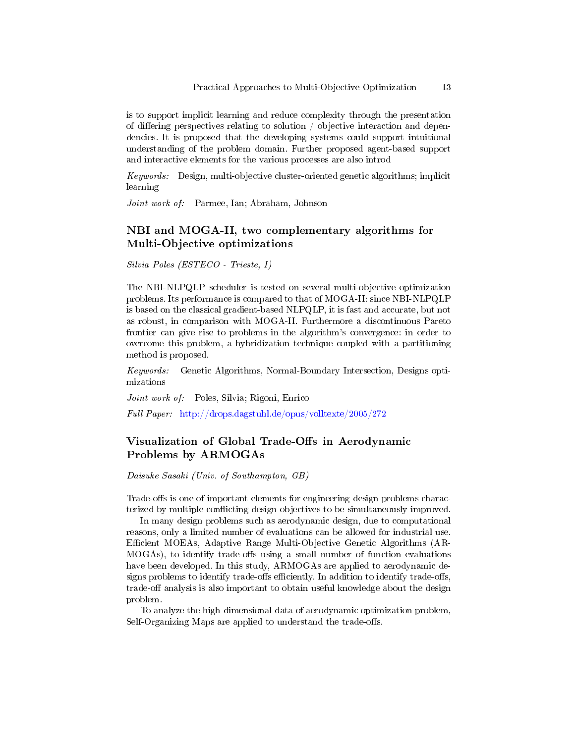is to support implicit learning and reduce complexity through the presentation of differing perspectives relating to solution  $\phi$  objective interaction and dependencies. It is proposed that the developing systems could support intuitional understanding of the problem domain. Further proposed agent-based support and interactive elements for the various processes are also introd

Keywords: Design, multi-objective cluster-oriented genetic algorithms; implicit learning

Joint work of: Parmee, Ian; Abraham, Johnson

#### NBI and MOGA-II, two complementary algorithms for Multi-Objective optimizations

Silvia Poles (ESTECO - Trieste, I)

The NBI-NLPQLP scheduler is tested on several multi-objective optimization problems. Its performance is compared to that of MOGA-II: since NBI-NLPQLP is based on the classical gradient-based NLPQLP, it is fast and accurate, but not as robust, in comparison with MOGA-II. Furthermore a discontinuous Pareto frontier can give rise to problems in the algorithm's convergence: in order to overcome this problem, a hybridization technique coupled with a partitioning method is proposed.

Keywords: Genetic Algorithms, Normal-Boundary Intersection, Designs optimizations

Joint work of: Poles, Silvia; Rigoni, Enrico

Full Paper: <http://drops.dagstuhl.de/opus/volltexte/2005/272>

### Visualization of Global Trade-Offs in Aerodynamic Problems by ARMOGAs

#### Daisuke Sasaki (Univ. of Southampton, GB)

Trade-offs is one of important elements for engineering design problems characterized by multiple conflicting design objectives to be simultaneously improved.

In many design problems such as aerodynamic design, due to computational reasons, only a limited number of evaluations can be allowed for industrial use. Ecient MOEAs, Adaptive Range Multi-Objective Genetic Algorithms (AR- $MOGAs$ , to identify trade-offs using a small number of function evaluations have been developed. In this study, ARMOGAs are applied to aerodynamic designs problems to identify trade-offs efficiently. In addition to identify trade-offs, trade-off analysis is also important to obtain useful knowledge about the design problem.

To analyze the high-dimensional data of aerodynamic optimization problem, Self-Organizing Maps are applied to understand the trade-offs.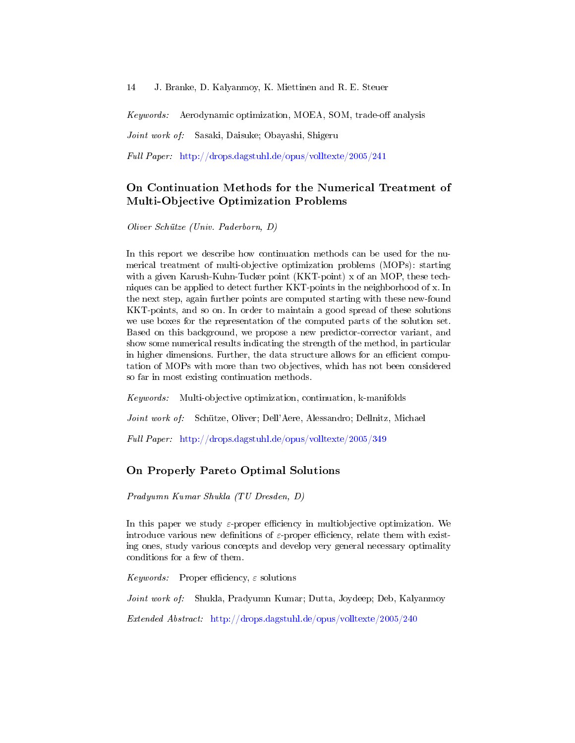Keywords: Aerodynamic optimization, MOEA, SOM, trade-off analysis

Joint work of: Sasaki, Daisuke; Obayashi, Shigeru

Full Paper: <http://drops.dagstuhl.de/opus/volltexte/2005/241>

# On Continuation Methods for the Numerical Treatment of Multi-Objective Optimization Problems

Oliver Schütze (Univ. Paderborn, D)

In this report we describe how continuation methods can be used for the numerical treatment of multi-objective optimization problems (MOPs): starting with a given Karush-Kuhn-Tucker point (KKT-point) x of an MOP, these techniques can be applied to detect further KKT-points in the neighborhood of x. In the next step, again further points are computed starting with these new-found KKT-points, and so on. In order to maintain a good spread of these solutions we use boxes for the representation of the computed parts of the solution set. Based on this background, we propose a new predictor-corrector variant, and show some numerical results indicating the strength of the method, in particular in higher dimensions. Further, the data structure allows for an efficient computation of MOPs with more than two objectives, which has not been considered so far in most existing continuation methods.

Keywords: Multi-objective optimization, continuation, k-manifolds

Joint work of: Schütze, Oliver; Dell'Aere, Alessandro; Dellnitz, Michael

Full Paper: <http://drops.dagstuhl.de/opus/volltexte/2005/349>

#### On Properly Pareto Optimal Solutions

Pradyumn Kumar Shukla (TU Dresden, D)

In this paper we study  $\varepsilon$ -proper efficiency in multiobjective optimization. We introduce various new definitions of  $\varepsilon$ -proper efficiency, relate them with existing ones, study various concepts and develop very general necessary optimality conditions for a few of them.

Keywords: Proper efficiency,  $\varepsilon$  solutions

Joint work of: Shukla, Pradyumn Kumar; Dutta, Joydeep; Deb, Kalyanmoy

Extended Abstract: <http://drops.dagstuhl.de/opus/volltexte/2005/240>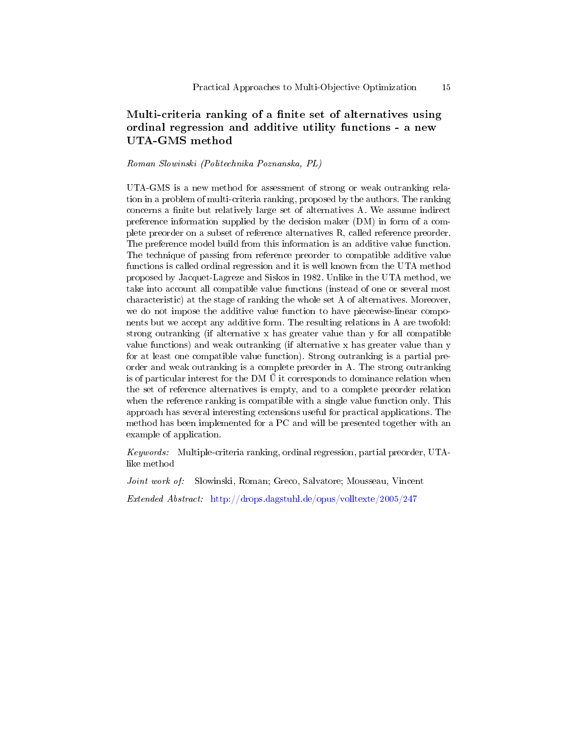# Multi-criteria ranking of a finite set of alternatives using ordinal regression and additive utility functions - a new UTA-GMS method

#### Roman Slowinski (Politechnika Poznanska, PL)

UTA-GMS is a new method for assessment of strong or weak outranking relation in a problem of multi-criteria ranking, proposed by the authors. The ranking concerns a finite but relatively large set of alternatives A. We assume indirect preference information supplied by the decision maker (DM) in form of a complete preorder on a subset of reference alternatives R, called reference preorder. The preference model build from this information is an additive value function. The technique of passing from reference preorder to compatible additive value functions is called ordinal regression and it is well known from the UTA method proposed by Jacquet-Lagreze and Siskos in 1982. Unlike in the UTA method, we take into account all compatible value functions (instead of one or several most characteristic) at the stage of ranking the whole set A of alternatives. Moreover, we do not impose the additive value function to have piecewise-linear components but we accept any additive form. The resulting relations in A are twofold: strong outranking (if alternative x has greater value than y for all compatible value functions) and weak outranking (if alternative x has greater value than y for at least one compatible value function). Strong outranking is a partial preorder and weak outranking is a complete preorder in A. The strong outranking is of particular interest for the DM  $\tilde{U}$  it corresponds to dominance relation when the set of reference alternatives is empty, and to a complete preorder relation when the reference ranking is compatible with a single value function only. This approach has several interesting extensions useful for practical applications. The method has been implemented for a PC and will be presented together with an example of application.

Keywords: Multiple-criteria ranking, ordinal regression, partial preorder, UTAlike method

Joint work of: Slowinski, Roman; Greco, Salvatore; Mousseau, Vincent

Extended Abstract: <http://drops.dagstuhl.de/opus/volltexte/2005/247>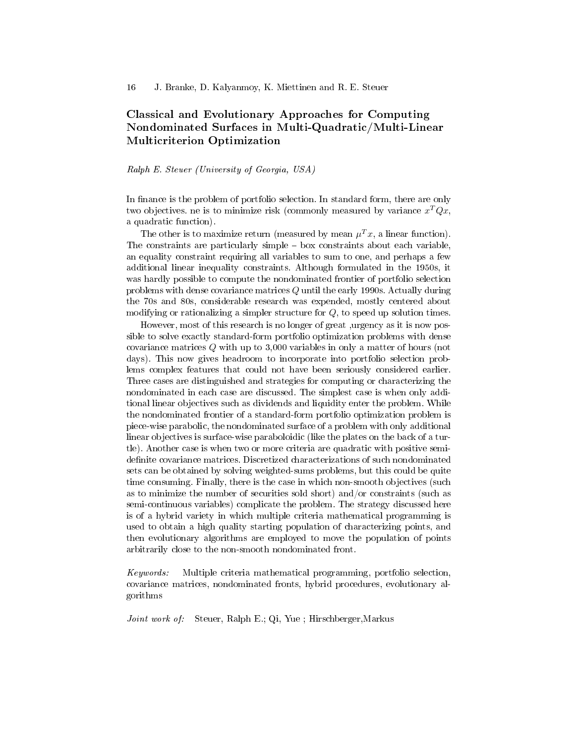# Classical and Evolutionary Approaches for Computing Nondominated Surfaces in Multi-Quadratic/Multi-Linear Multicriterion Optimization

#### Ralph E. Steuer (University of Georgia, USA)

In finance is the problem of portfolio selection. In standard form, there are only two objectives. ne is to minimize risk (commonly measured by variance  $x^T Q x$ , a quadratic function).

The other is to maximize return (measured by mean  $\mu^T x$ , a linear function). The constraints are particularly simple  $-$  box constraints about each variable. an equality constraint requiring all variables to sum to one, and perhaps a few additional linear inequality constraints. Although formulated in the 1950s, it was hardly possible to compute the nondominated frontier of portfolio selection problems with dense covariance matrices Q until the early 1990s. Actually during the 70s and 80s, considerable research was expended, mostly centered about modifying or rationalizing a simpler structure for  $Q$ , to speed up solution times.

However, most of this research is no longer of great ,urgency as it is now possible to solve exactly standard-form portfolio optimization problems with dense covariance matrices Q with up to 3,000 variables in only a matter of hours (not days). This now gives headroom to incorporate into portfolio selection problems complex features that could not have been seriously considered earlier. Three cases are distinguished and strategies for computing or characterizing the nondominated in each case are discussed. The simplest case is when only additional linear objectives such as dividends and liquidity enter the problem. While the nondominated frontier of a standard-form portfolio optimization problem is piece-wise parabolic, the nondominated surface of a problem with only additional linear objectives is surface-wise paraboloidic (like the plates on the back of a turtle). Another case is when two or more criteria are quadratic with positive semidefinite covariance matrices. Discretized characterizations of such nondominated sets can be obtained by solving weighted-sums problems, but this could be quite time consuming. Finally, there is the case in which non-smooth objectives (such as to minimize the number of securities sold short) and/or constraints (such as semi-continuous variables) complicate the problem. The strategy discussed here is of a hybrid variety in which multiple criteria mathematical programming is used to obtain a high quality starting population of characterizing points, and then evolutionary algorithms are employed to move the population of points arbitrarily close to the non-smooth nondominated front.

Keywords: Multiple criteria mathematical programming, portfolio selection, covariance matrices, nondominated fronts, hybrid procedures, evolutionary algorithms

Joint work of: Steuer, Ralph E.; Qi, Yue ; Hirschberger, Markus